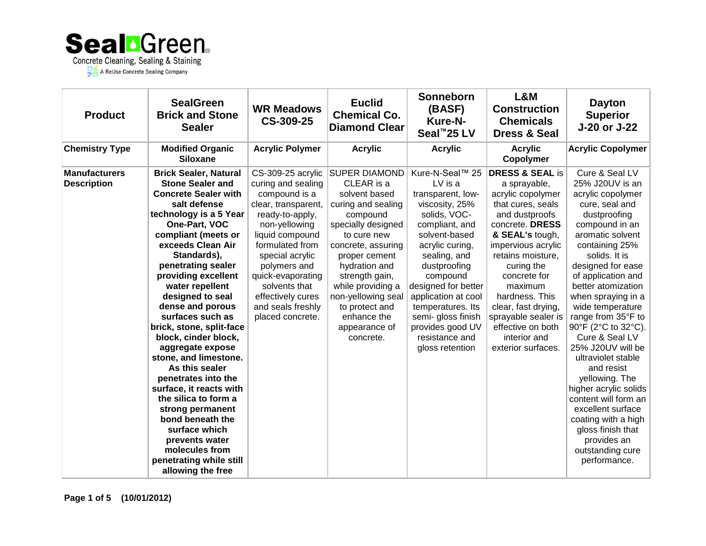

| <b>Product</b>                             | <b>SealGreen</b><br><b>Brick and Stone</b><br><b>Sealer</b>                                                                                                                                                                                                                                                                                                                                                                                                                                                                                                                                                                                                                        | <b>WR Meadows</b><br>CS-309-25                                                                                                                                                                                                                                                                   | <b>Euclid</b><br><b>Chemical Co.</b><br><b>Diamond Clear</b>                                                                                                                                                                                                                                                   | <b>Sonneborn</b><br>(BASF)<br><b>Kure-N-</b><br>Seal <sup>™</sup> 25 LV                                                                                                                                                                                                                                                               | L&M<br><b>Construction</b><br><b>Chemicals</b><br><b>Dress &amp; Seal</b>                                                                                                                                                                                                                                                                                   | <b>Dayton</b><br><b>Superior</b><br>J-20 or J-22                                                                                                                                                                                                                                                                                                                                                                                                                                                                                                                                            |
|--------------------------------------------|------------------------------------------------------------------------------------------------------------------------------------------------------------------------------------------------------------------------------------------------------------------------------------------------------------------------------------------------------------------------------------------------------------------------------------------------------------------------------------------------------------------------------------------------------------------------------------------------------------------------------------------------------------------------------------|--------------------------------------------------------------------------------------------------------------------------------------------------------------------------------------------------------------------------------------------------------------------------------------------------|----------------------------------------------------------------------------------------------------------------------------------------------------------------------------------------------------------------------------------------------------------------------------------------------------------------|---------------------------------------------------------------------------------------------------------------------------------------------------------------------------------------------------------------------------------------------------------------------------------------------------------------------------------------|-------------------------------------------------------------------------------------------------------------------------------------------------------------------------------------------------------------------------------------------------------------------------------------------------------------------------------------------------------------|---------------------------------------------------------------------------------------------------------------------------------------------------------------------------------------------------------------------------------------------------------------------------------------------------------------------------------------------------------------------------------------------------------------------------------------------------------------------------------------------------------------------------------------------------------------------------------------------|
| <b>Chemistry Type</b>                      | <b>Modified Organic</b><br><b>Siloxane</b>                                                                                                                                                                                                                                                                                                                                                                                                                                                                                                                                                                                                                                         | <b>Acrylic Polymer</b>                                                                                                                                                                                                                                                                           | <b>Acrylic</b>                                                                                                                                                                                                                                                                                                 | <b>Acrylic</b>                                                                                                                                                                                                                                                                                                                        | <b>Acrylic</b><br>Copolymer                                                                                                                                                                                                                                                                                                                                 | <b>Acrylic Copolymer</b>                                                                                                                                                                                                                                                                                                                                                                                                                                                                                                                                                                    |
| <b>Manufacturers</b><br><b>Description</b> | <b>Brick Sealer, Natural</b><br><b>Stone Sealer and</b><br><b>Concrete Sealer with</b><br>salt defense<br>technology is a 5 Year<br>One-Part, VOC<br>compliant (meets or<br>exceeds Clean Air<br>Standards),<br>penetrating sealer<br>providing excellent<br>water repellent<br>designed to seal<br>dense and porous<br>surfaces such as<br>brick, stone, split-face<br>block, cinder block,<br>aggregate expose<br>stone, and limestone.<br>As this sealer<br>penetrates into the<br>surface, it reacts with<br>the silica to form a<br>strong permanent<br>bond beneath the<br>surface which<br>prevents water<br>molecules from<br>penetrating while still<br>allowing the free | CS-309-25 acrylic<br>curing and sealing<br>compound is a<br>clear, transparent,<br>ready-to-apply,<br>non-yellowing<br>liquid compound<br>formulated from<br>special acrylic<br>polymers and<br>quick-evaporating<br>solvents that<br>effectively cures<br>and seals freshly<br>placed concrete. | <b>SUPER DIAMOND</b><br>CLEAR is a<br>solvent based<br>curing and sealing<br>compound<br>specially designed<br>to cure new<br>concrete, assuring<br>proper cement<br>hydration and<br>strength gain,<br>while providing a<br>non-yellowing seal<br>to protect and<br>enhance the<br>appearance of<br>concrete. | Kure-N-Seal™ 25<br>LV is a<br>transparent, low-<br>viscosity, 25%<br>solids, VOC-<br>compliant, and<br>solvent-based<br>acrylic curing,<br>sealing, and<br>dustproofing<br>compound<br>designed for better<br>application at cool<br>temperatures. Its<br>semi- gloss finish<br>provides good UV<br>resistance and<br>gloss retention | <b>DRESS &amp; SEAL is</b><br>a sprayable,<br>acrylic copolymer<br>that cures, seals<br>and dustproofs<br>concrete. DRESS<br>& SEAL's tough,<br>impervious acrylic<br>retains moisture,<br>curing the<br>concrete for<br>maximum<br>hardness. This<br>clear, fast drying,<br>sprayable sealer is<br>effective on both<br>interior and<br>exterior surfaces. | Cure & Seal LV<br>25% J20UV is an<br>acrylic copolymer<br>cure, seal and<br>dustproofing<br>compound in an<br>aromatic solvent<br>containing 25%<br>solids. It is<br>designed for ease<br>of application and<br>better atomization<br>when spraying in a<br>wide temperature<br>range from 35°F to<br>90°F (2°C to 32°C).<br>Cure & Seal LV<br>25% J20UV will be<br>ultraviolet stable<br>and resist<br>yellowing. The<br>higher acrylic solids<br>content will form an<br>excellent surface<br>coating with a high<br>gloss finish that<br>provides an<br>outstanding cure<br>performance. |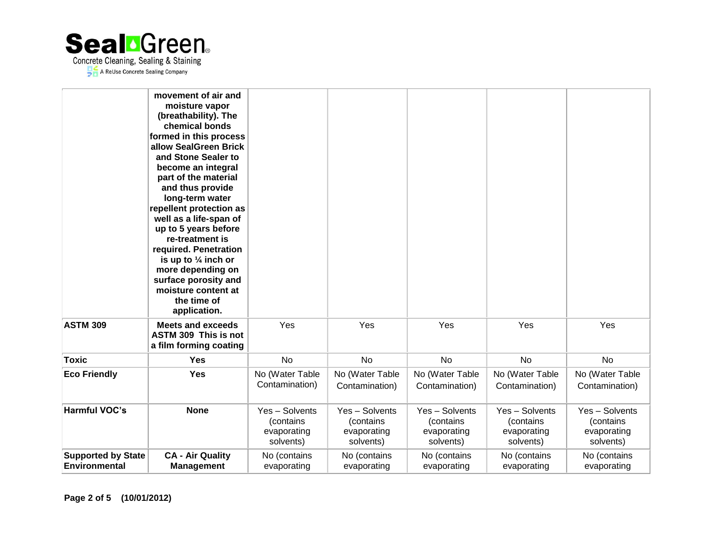

|                                                   | movement of air and<br>moisture vapor<br>(breathability). The<br>chemical bonds<br>formed in this process<br>allow SealGreen Brick<br>and Stone Sealer to<br>become an integral<br>part of the material<br>and thus provide<br>long-term water<br>repellent protection as<br>well as a life-span of<br>up to 5 years before<br>re-treatment is<br>required. Penetration<br>is up to $\frac{1}{4}$ inch or<br>more depending on<br>surface porosity and<br>moisture content at<br>the time of<br>application. |                                                         |                                                         |                                                         |                                                         |                                                         |
|---------------------------------------------------|--------------------------------------------------------------------------------------------------------------------------------------------------------------------------------------------------------------------------------------------------------------------------------------------------------------------------------------------------------------------------------------------------------------------------------------------------------------------------------------------------------------|---------------------------------------------------------|---------------------------------------------------------|---------------------------------------------------------|---------------------------------------------------------|---------------------------------------------------------|
| <b>ASTM 309</b>                                   | <b>Meets and exceeds</b><br>ASTM 309 This is not<br>a film forming coating                                                                                                                                                                                                                                                                                                                                                                                                                                   | Yes                                                     | Yes                                                     | Yes                                                     | Yes                                                     | Yes                                                     |
| <b>Toxic</b>                                      | <b>Yes</b>                                                                                                                                                                                                                                                                                                                                                                                                                                                                                                   | <b>No</b>                                               | <b>No</b>                                               | <b>No</b>                                               | <b>No</b>                                               | <b>No</b>                                               |
| <b>Eco Friendly</b>                               | <b>Yes</b>                                                                                                                                                                                                                                                                                                                                                                                                                                                                                                   | No (Water Table<br>Contamination)                       | No (Water Table<br>Contamination)                       | No (Water Table<br>Contamination)                       | No (Water Table<br>Contamination)                       | No (Water Table<br>Contamination)                       |
| <b>Harmful VOC's</b>                              | <b>None</b>                                                                                                                                                                                                                                                                                                                                                                                                                                                                                                  | Yes - Solvents<br>(contains<br>evaporating<br>solvents) | Yes - Solvents<br>(contains<br>evaporating<br>solvents) | Yes - Solvents<br>(contains<br>evaporating<br>solvents) | Yes - Solvents<br>(contains<br>evaporating<br>solvents) | Yes - Solvents<br>(contains<br>evaporating<br>solvents) |
| <b>Supported by State</b><br><b>Environmental</b> | <b>CA - Air Quality</b><br><b>Management</b>                                                                                                                                                                                                                                                                                                                                                                                                                                                                 | No (contains<br>evaporating                             | No (contains<br>evaporating                             | No (contains<br>evaporating                             | No (contains<br>evaporating                             | No (contains<br>evaporating                             |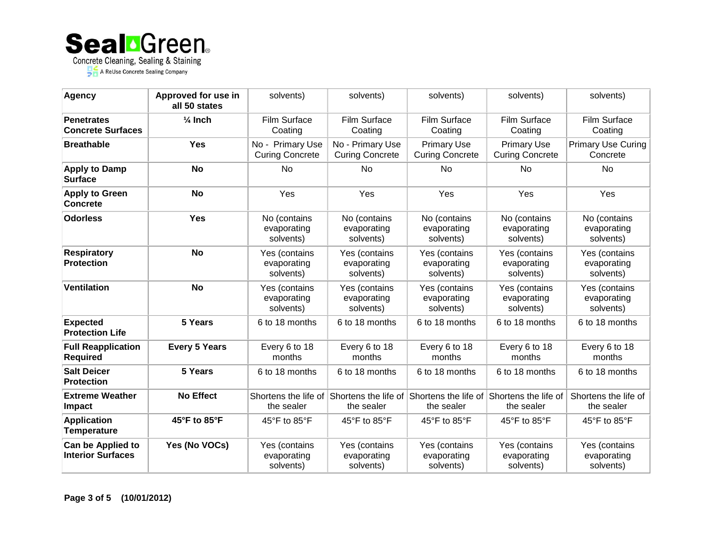

| Agency                                        | Approved for use in<br>all 50 states | solvents)                                  | solvents)                                  | solvents)                                    | solvents)                                    | solvents)                                 |
|-----------------------------------------------|--------------------------------------|--------------------------------------------|--------------------------------------------|----------------------------------------------|----------------------------------------------|-------------------------------------------|
| <b>Penetrates</b><br><b>Concrete Surfaces</b> | $\frac{1}{4}$ Inch                   | <b>Film Surface</b><br>Coating             | Film Surface<br>Coating                    | <b>Film Surface</b><br>Coating               | Film Surface<br>Coating                      | Film Surface<br>Coating                   |
| <b>Breathable</b>                             | Yes                                  | No - Primary Use<br><b>Curing Concrete</b> | No - Primary Use<br><b>Curing Concrete</b> | <b>Primary Use</b><br><b>Curing Concrete</b> | <b>Primary Use</b><br><b>Curing Concrete</b> | <b>Primary Use Curing</b><br>Concrete     |
| <b>Apply to Damp</b><br><b>Surface</b>        | <b>No</b>                            | No                                         | No.                                        | No                                           | No                                           | No                                        |
| <b>Apply to Green</b><br><b>Concrete</b>      | <b>No</b>                            | Yes                                        | Yes                                        | Yes                                          | Yes                                          | Yes                                       |
| <b>Odorless</b>                               | <b>Yes</b>                           | No (contains<br>evaporating<br>solvents)   | No (contains<br>evaporating<br>solvents)   | No (contains<br>evaporating<br>solvents)     | No (contains<br>evaporating<br>solvents)     | No (contains<br>evaporating<br>solvents)  |
| <b>Respiratory</b><br><b>Protection</b>       | <b>No</b>                            | Yes (contains<br>evaporating<br>solvents)  | Yes (contains<br>evaporating<br>solvents)  | Yes (contains<br>evaporating<br>solvents)    | Yes (contains<br>evaporating<br>solvents)    | Yes (contains<br>evaporating<br>solvents) |
| <b>Ventilation</b>                            | <b>No</b>                            | Yes (contains<br>evaporating<br>solvents)  | Yes (contains<br>evaporating<br>solvents)  | Yes (contains<br>evaporating<br>solvents)    | Yes (contains<br>evaporating<br>solvents)    | Yes (contains<br>evaporating<br>solvents) |
| <b>Expected</b><br><b>Protection Life</b>     | 5 Years                              | 6 to 18 months                             | 6 to 18 months                             | 6 to 18 months                               | 6 to 18 months                               | 6 to 18 months                            |
| <b>Full Reapplication</b><br><b>Required</b>  | <b>Every 5 Years</b>                 | Every 6 to 18<br>months                    | Every 6 to 18<br>months                    | Every 6 to 18<br>months                      | Every 6 to 18<br>months                      | Every 6 to 18<br>months                   |
| <b>Salt Deicer</b><br><b>Protection</b>       | 5 Years                              | 6 to 18 months                             | 6 to 18 months                             | 6 to 18 months                               | 6 to 18 months                               | 6 to 18 months                            |
| <b>Extreme Weather</b><br><b>Impact</b>       | <b>No Effect</b>                     | Shortens the life of<br>the sealer         | Shortens the life of<br>the sealer         | Shortens the life of<br>the sealer           | Shortens the life of<br>the sealer           | Shortens the life of<br>the sealer        |
| <b>Application</b><br><b>Temperature</b>      | 45°F to 85°F                         | 45°F to 85°F                               | 45°F to 85°F                               | 45 $\degree$ F to 85 $\degree$ F             | 45°F to 85°F                                 | 45°F to 85°F                              |
| Can be Applied to<br><b>Interior Surfaces</b> | Yes (No VOCs)                        | Yes (contains<br>evaporating<br>solvents)  | Yes (contains<br>evaporating<br>solvents)  | Yes (contains<br>evaporating<br>solvents)    | Yes (contains<br>evaporating<br>solvents)    | Yes (contains<br>evaporating<br>solvents) |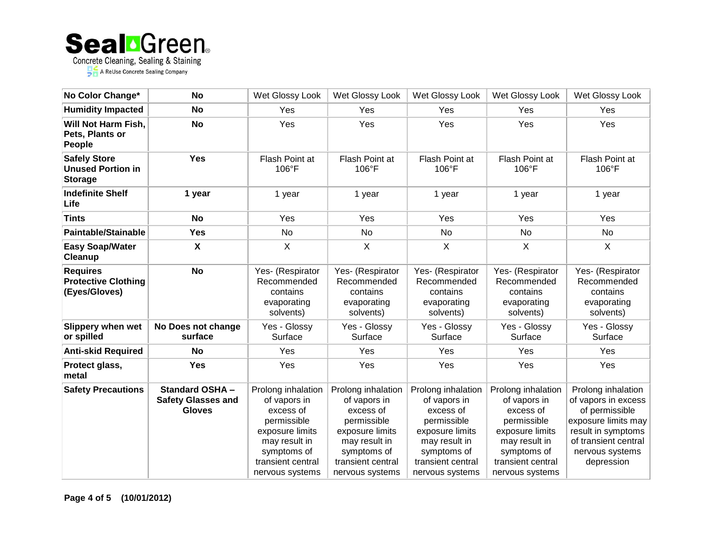

| No Color Change*                                                  | <b>No</b>                                                           | Wet Glossy Look                                                                                                                                           | Wet Glossy Look                                                                                                                                           | Wet Glossy Look                                                                                                                                           | Wet Glossy Look                                                                                                                                           | Wet Glossy Look                                                                                                                                                   |
|-------------------------------------------------------------------|---------------------------------------------------------------------|-----------------------------------------------------------------------------------------------------------------------------------------------------------|-----------------------------------------------------------------------------------------------------------------------------------------------------------|-----------------------------------------------------------------------------------------------------------------------------------------------------------|-----------------------------------------------------------------------------------------------------------------------------------------------------------|-------------------------------------------------------------------------------------------------------------------------------------------------------------------|
| <b>Humidity Impacted</b>                                          | <b>No</b>                                                           | Yes                                                                                                                                                       | Yes                                                                                                                                                       | Yes                                                                                                                                                       | Yes                                                                                                                                                       | <b>Yes</b>                                                                                                                                                        |
| Will Not Harm Fish,<br>Pets, Plants or<br><b>People</b>           | <b>No</b>                                                           | Yes                                                                                                                                                       | Yes                                                                                                                                                       | Yes                                                                                                                                                       | Yes                                                                                                                                                       | Yes                                                                                                                                                               |
| <b>Safely Store</b><br><b>Unused Portion in</b><br><b>Storage</b> | <b>Yes</b>                                                          | Flash Point at<br>$106^{\circ}$ F                                                                                                                         | Flash Point at<br>$106^{\circ}$ F                                                                                                                         | Flash Point at<br>$106^{\circ}$ F                                                                                                                         | Flash Point at<br>$106^{\circ}$ F                                                                                                                         | Flash Point at<br>106°F                                                                                                                                           |
| <b>Indefinite Shelf</b><br>Life                                   | 1 year                                                              | 1 year                                                                                                                                                    | 1 year                                                                                                                                                    | 1 year                                                                                                                                                    | 1 year                                                                                                                                                    | 1 year                                                                                                                                                            |
| <b>Tints</b>                                                      | <b>No</b>                                                           | Yes                                                                                                                                                       | Yes                                                                                                                                                       | Yes                                                                                                                                                       | Yes                                                                                                                                                       | Yes                                                                                                                                                               |
| <b>Paintable/Stainable</b>                                        | <b>Yes</b>                                                          | <b>No</b>                                                                                                                                                 | <b>No</b>                                                                                                                                                 | <b>No</b>                                                                                                                                                 | <b>No</b>                                                                                                                                                 | No                                                                                                                                                                |
| <b>Easy Soap/Water</b><br><b>Cleanup</b>                          | $\boldsymbol{\mathsf{X}}$                                           | X                                                                                                                                                         | X                                                                                                                                                         | X                                                                                                                                                         | X                                                                                                                                                         | X                                                                                                                                                                 |
| <b>Requires</b><br><b>Protective Clothing</b><br>(Eyes/Gloves)    | <b>No</b>                                                           | Yes- (Respirator<br>Recommended<br>contains<br>evaporating<br>solvents)                                                                                   | Yes- (Respirator<br>Recommended<br>contains<br>evaporating<br>solvents)                                                                                   | Yes- (Respirator<br>Recommended<br>contains<br>evaporating<br>solvents)                                                                                   | Yes- (Respirator<br>Recommended<br>contains<br>evaporating<br>solvents)                                                                                   | Yes- (Respirator<br>Recommended<br>contains<br>evaporating<br>solvents)                                                                                           |
| Slippery when wet<br>or spilled                                   | No Does not change<br>surface                                       | Yes - Glossy<br>Surface                                                                                                                                   | Yes - Glossy<br>Surface                                                                                                                                   | Yes - Glossy<br>Surface                                                                                                                                   | Yes - Glossy<br>Surface                                                                                                                                   | Yes - Glossy<br>Surface                                                                                                                                           |
| <b>Anti-skid Required</b>                                         | No                                                                  | Yes                                                                                                                                                       | Yes                                                                                                                                                       | Yes                                                                                                                                                       | Yes                                                                                                                                                       | Yes                                                                                                                                                               |
| Protect glass,<br>metal                                           | <b>Yes</b>                                                          | Yes                                                                                                                                                       | Yes                                                                                                                                                       | Yes                                                                                                                                                       | Yes                                                                                                                                                       | Yes                                                                                                                                                               |
| <b>Safety Precautions</b>                                         | <b>Standard OSHA-</b><br><b>Safety Glasses and</b><br><b>Gloves</b> | Prolong inhalation<br>of vapors in<br>excess of<br>permissible<br>exposure limits<br>may result in<br>symptoms of<br>transient central<br>nervous systems | Prolong inhalation<br>of vapors in<br>excess of<br>permissible<br>exposure limits<br>may result in<br>symptoms of<br>transient central<br>nervous systems | Prolong inhalation<br>of vapors in<br>excess of<br>permissible<br>exposure limits<br>may result in<br>symptoms of<br>transient central<br>nervous systems | Prolong inhalation<br>of vapors in<br>excess of<br>permissible<br>exposure limits<br>may result in<br>symptoms of<br>transient central<br>nervous systems | Prolong inhalation<br>of vapors in excess<br>of permissible<br>exposure limits may<br>result in symptoms<br>of transient central<br>nervous systems<br>depression |